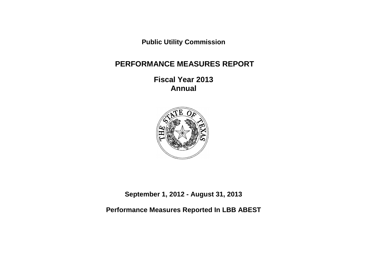**Public Utility Commission** 

# **PERFORMANCE MEASURES REPORT**

**Fiscal Year 2013 Annual**



**September 1, 2012 - August 31, 2013**

**Performance Measures Reported In LBB ABEST**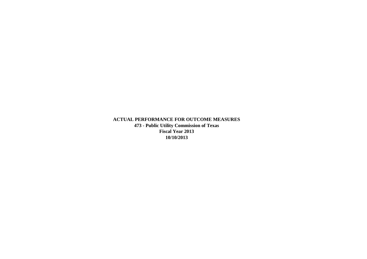**ACTUAL PERFORMANCE FOR OUTCOME MEASURES 473 - Public Utility Commission of Texas Fiscal Year 2013 10/10/2013**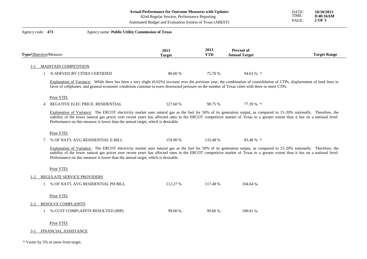| Actual Performance for Outcome Measures with Updates | DATE: | 10/10/2013 |
|------------------------------------------------------|-------|------------|
|                                                      |       |            |

Automated Budget and Evaluation System of Texas (ABEST)

| Agency code: 473       |                              | Agency name: Public Utility Commission of Texas                                                                                                                                                                                                                                                                                                                                                                                           |                       |                    |                                    |                     |
|------------------------|------------------------------|-------------------------------------------------------------------------------------------------------------------------------------------------------------------------------------------------------------------------------------------------------------------------------------------------------------------------------------------------------------------------------------------------------------------------------------------|-----------------------|--------------------|------------------------------------|---------------------|
| Type/Objective/Measure |                              |                                                                                                                                                                                                                                                                                                                                                                                                                                           | 2013<br><b>Target</b> | 2013<br><b>YTD</b> | Percent of<br><b>Annual Target</b> | <b>Target Range</b> |
| $1 - 1$                | <b>MAINTAIN COMPETITION</b>  |                                                                                                                                                                                                                                                                                                                                                                                                                                           |                       |                    |                                    |                     |
|                        | % SERVED BY CITIES CERTIFIED |                                                                                                                                                                                                                                                                                                                                                                                                                                           | 80.00 %               | 75.70 %            | 94.63 % *                          |                     |
|                        |                              | Explanation of Variance: While there has been a very slight (0.02%) increase over the previous year, the combination of consolidation of CTPs, displacement of land lines in<br>favor of cellphones, and general economic conditions continue to exert downward pressure on the number of Texas cities with three or more CTPs.                                                                                                           |                       |                    |                                    |                     |
|                        | Prior YTD:                   |                                                                                                                                                                                                                                                                                                                                                                                                                                           |                       |                    |                                    |                     |
|                        |                              | RELATIVE ELEC PRICE: RESIDENTIAL                                                                                                                                                                                                                                                                                                                                                                                                          | 127.60 %              | 98.75 %            | 77.39 % *                          |                     |
|                        |                              | Explanation of Variance: The ERCOT electricity market uses natural gas as the fuel for 50% of its generation output, as compared to 15-20% nationally. Therefore, the<br>stability of the lower natural gas prices over recent years has affected rates in the ERCOT competitive market of Texas to a greater extent than it has on a national level.<br>Performance on this measure is lower than the annual target, which is desirable. |                       |                    |                                    |                     |
|                        | Prior YTD:                   |                                                                                                                                                                                                                                                                                                                                                                                                                                           |                       |                    |                                    |                     |
|                        | 7                            | % OF NAT'L AVG RESIDENTIAL E-BILL                                                                                                                                                                                                                                                                                                                                                                                                         | 159.90 %              | 133.48 %           | 83.48 % *                          |                     |
|                        |                              | Explanation of Variance: The ERCOT electricity market uses natural gas as the fuel for 50% of its generation output, as compared to 15-20% nationally. Therefore, the<br>stability of the lower natural gas prices over recent years has affected rates in the ERCOT competitive market of Texas to a greater extent than it has on a national level.<br>Performance on this measure is lower than the annual target, which is desirable. |                       |                    |                                    |                     |
|                        | Prior YTD:                   |                                                                                                                                                                                                                                                                                                                                                                                                                                           |                       |                    |                                    |                     |
| $1 - 2$                | REGULATE SERVICE PROVIDERS   |                                                                                                                                                                                                                                                                                                                                                                                                                                           |                       |                    |                                    |                     |
|                        |                              | % OF NAT'L AVG RESIDENTIAL PH BILL                                                                                                                                                                                                                                                                                                                                                                                                        | 112.27 %              | 117.48 %           | 104.64 %                           |                     |
|                        | Prior YTD:                   |                                                                                                                                                                                                                                                                                                                                                                                                                                           |                       |                    |                                    |                     |
| $2 - 2$                | RESOLVE COMPLAINTS           |                                                                                                                                                                                                                                                                                                                                                                                                                                           |                       |                    |                                    |                     |
|                        | $\mathbf{1}$                 | % CUST COMPLAINTS RESOLVED (IRP)                                                                                                                                                                                                                                                                                                                                                                                                          | 99.00 %               | 99.60 %            | 100.61 %                           |                     |
|                        | Prior YTD:                   |                                                                                                                                                                                                                                                                                                                                                                                                                                           |                       |                    |                                    |                     |
| $3-1$                  | FINANCIAL ASSISTANCE         |                                                                                                                                                                                                                                                                                                                                                                                                                                           |                       |                    |                                    |                     |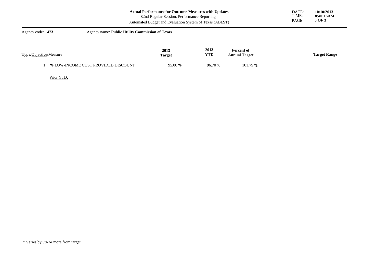|                               | <b>Actual Performance for Outcome Measures with Updates</b><br>82nd Regular Session, Performance Reporting<br>Automated Budget and Evaluation System of Texas (ABEST) | DATE:<br>TIME:<br>PAGE: | 10/10/2013<br>8:40:16AM<br>3 OF 3  |  |                     |
|-------------------------------|-----------------------------------------------------------------------------------------------------------------------------------------------------------------------|-------------------------|------------------------------------|--|---------------------|
| Agency code: 473              | Agency name: Public Utility Commission of Texas                                                                                                                       |                         |                                    |  |                     |
| <b>Type/Objective/Measure</b> | 2013<br><b>Target</b>                                                                                                                                                 | 2013<br><b>YTD</b>      | Percent of<br><b>Annual Target</b> |  | <b>Target Range</b> |

96.70 %

101.79 %

95.00 %

\* Varies by 5% or more from target.

1 % LOW-INCOME CUST PROVIDED DISCOUNT

Prior YTD: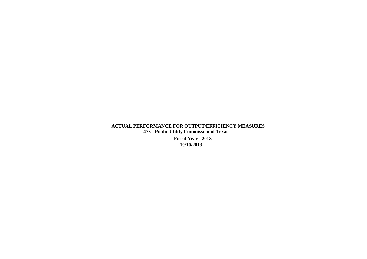# **ACTUAL PERFORMANCE FOR OUTPUT/EFFICIENCY MEASURES 473 - Public Utility Commission of Texas**

**Fiscal Year 2013 10/10/2013**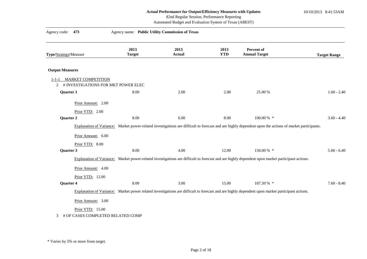### **Actual Performance for Output/Efficiency Measures with Updates** 10/10/2013 8:41:53AM

# 82nd Regular Session, Performance Reporting

Automated Budget and Evaluation System of Texas (ABEST)

| Agency code:<br>473                                                               | Agency name: Public Utility Commission of Texas |                       |                    |                                                                                                                                                          |                     |
|-----------------------------------------------------------------------------------|-------------------------------------------------|-----------------------|--------------------|----------------------------------------------------------------------------------------------------------------------------------------------------------|---------------------|
| Type/Strategy/Measure                                                             | 2013<br><b>Target</b>                           | 2013<br><b>Actual</b> | 2013<br><b>YTD</b> | <b>Percent of</b><br><b>Annual Target</b>                                                                                                                | <b>Target Range</b> |
| <b>Output Measures</b>                                                            |                                                 |                       |                    |                                                                                                                                                          |                     |
| <b>MARKET COMPETITION</b><br>$1 - 1 - 1$<br>2 # INVESTIGATIONS FOR MKT POWER ELEC |                                                 |                       |                    |                                                                                                                                                          |                     |
| Quarter 1                                                                         | 8.00                                            | 2.00                  | 2.00               | 25.00 %                                                                                                                                                  | $1.60 - 2.40$       |
| Prior Amount: 2.00<br>Prior YTD: 2.00<br>Quarter 2                                | 8.00                                            | 6.00                  | 8.00               | 100.00 % *                                                                                                                                               | $3.60 - 4.40$       |
|                                                                                   |                                                 |                       |                    | Explanation of Variance: Market power-related investigations are difficult to forecast and are highly dependent upon the actions of market participants. |                     |
| Prior Amount: 6.00<br>Prior YTD: 8.00                                             |                                                 |                       |                    |                                                                                                                                                          |                     |
| Quarter 3                                                                         | 8.00                                            | 4.00                  | 12.00              | 150.00 % *                                                                                                                                               | $5.60 - 6.40$       |
|                                                                                   |                                                 |                       |                    | Explanation of Variance: Market power-related investigations are difficult to forecast and are highly dependent upon market participant actions.         |                     |
| Prior Amount: 4.00<br>Prior YTD: 12.00                                            |                                                 |                       |                    |                                                                                                                                                          |                     |
| Quarter 4                                                                         | 8.00                                            | 3.00                  | 15.00              | 187.50 % *                                                                                                                                               | $7.60 - 8.40$       |
|                                                                                   |                                                 |                       |                    | Explanation of Variance: Market power related investigations are difficult to forecast and are highly dependent upon market participant actions.         |                     |
| Prior Amount: 3.00                                                                |                                                 |                       |                    |                                                                                                                                                          |                     |
| Prior YTD: 15.00<br># OF CASES COMPLETED RELATED COMP<br>3                        |                                                 |                       |                    |                                                                                                                                                          |                     |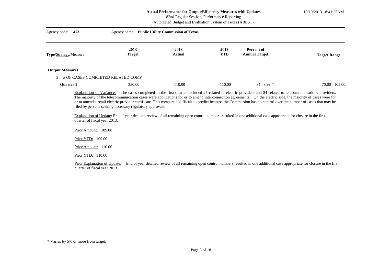10/10/2013 8:41:53AM

# 82nd Regular Session, Performance Reporting

Automated Budget and Evaluation System of Texas (ABEST)

| Agency code: 473       | Agency name: Public Utility Commission of Texas |                |                    |                                    |                     |
|------------------------|-------------------------------------------------|----------------|--------------------|------------------------------------|---------------------|
| Type/Strategy/Measure  | 2013<br><b>Target</b>                           | 2013<br>Actual | 2013<br><b>YTD</b> | Percent of<br><b>Annual Target</b> | <b>Target Range</b> |
| <b>Output Measures</b> |                                                 |                |                    |                                    |                     |
| 3                      | # OF CASES COMPLETED RELATED COMP               |                |                    |                                    |                     |
| <b>Quarter 1</b>       | 350.00                                          | 110.00         | 110.00             | $31.43\%$ *                        | $70.00 - 105.00$    |

Explanation of Variance: The cases completed in the first quarter included 25 related to electric providers and 84 related to telecommunications providers. The majority of the telecommunication cases were applications for or to amend interconnection agreements. On the electric side, the majority of cases were for or to amend a retail electric provider certificate. This measure is difficult to predict because the Commission has no control over the number of cases that may be filed by persons seeking necessary regulatory approvals.

Explanation of Update: End of year detailed review of all remaining open control numbers resulted in one additional case appropriate for closure in the first quarter of fiscal year 2013.

Prior Amount: 109.00

Prior YTD: 109.00

Prior Amount: 110.00

Prior YTD: 110.00

Prior Explanation of Update: End of year detailed review of all remaining open control numbers resulted in one additional case appropriate for closure in the first quarter of fiscal year 2013.

<sup>\*</sup> Varies by 5% or more from target.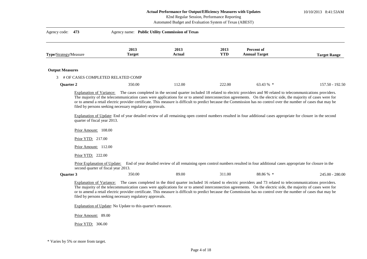10/10/2013 8:41:53AM

# 82nd Regular Session, Performance Reporting

|                        | Automated Budget and Evaluation System of Texas (ABEST)                                  |                                                          |                       |                    |                                                                                                                                                                                                                                                                                                                                                                                                                                                                                                           |                     |  |  |
|------------------------|------------------------------------------------------------------------------------------|----------------------------------------------------------|-----------------------|--------------------|-----------------------------------------------------------------------------------------------------------------------------------------------------------------------------------------------------------------------------------------------------------------------------------------------------------------------------------------------------------------------------------------------------------------------------------------------------------------------------------------------------------|---------------------|--|--|
| Agency code:           | 473                                                                                      | Agency name: Public Utility Commission of Texas          |                       |                    |                                                                                                                                                                                                                                                                                                                                                                                                                                                                                                           |                     |  |  |
| Type/Strategy/Measure  |                                                                                          | 2013<br><b>Target</b>                                    | 2013<br><b>Actual</b> | 2013<br><b>YTD</b> | Percent of<br><b>Annual Target</b>                                                                                                                                                                                                                                                                                                                                                                                                                                                                        | <b>Target Range</b> |  |  |
| <b>Output Measures</b> |                                                                                          |                                                          |                       |                    |                                                                                                                                                                                                                                                                                                                                                                                                                                                                                                           |                     |  |  |
| 3                      |                                                                                          | # OF CASES COMPLETED RELATED COMP                        |                       |                    |                                                                                                                                                                                                                                                                                                                                                                                                                                                                                                           |                     |  |  |
| Quarter 2              |                                                                                          | 350.00                                                   | 112.00                | 222.00             | 63.43 % *                                                                                                                                                                                                                                                                                                                                                                                                                                                                                                 | $157.50 - 192.50$   |  |  |
|                        | quarter of fiscal year 2013.<br>Prior Amount: 108.00                                     | filed by persons seeking necessary regulatory approvals. |                       |                    | The majority of the telecommunication cases were applications for or to amend interconnection agreements. On the electric side, the majority of cases were for<br>or to amend a retail electric provider certificate. This measure is difficult to predict because the Commission has no control over the number of cases that may be<br>Explanation of Update: End of year detailed review of all remaining open control numbers resulted in four additional cases appropriate for closure in the second |                     |  |  |
|                        | Prior YTD: 217.00                                                                        |                                                          |                       |                    |                                                                                                                                                                                                                                                                                                                                                                                                                                                                                                           |                     |  |  |
|                        | Prior Amount: 112.00                                                                     |                                                          |                       |                    |                                                                                                                                                                                                                                                                                                                                                                                                                                                                                                           |                     |  |  |
|                        | Prior YTD: 222.00<br>Prior Explanation of Update:<br>second quarter of fiscal year 2013. |                                                          |                       |                    | End of year detailed review of all remaining open control numbers resulted in four additional cases appropriate for closure in the                                                                                                                                                                                                                                                                                                                                                                        |                     |  |  |
| <b>Ouarter 3</b>       |                                                                                          | 350.00                                                   | 89.00                 | 311.00             | 88.86 % *                                                                                                                                                                                                                                                                                                                                                                                                                                                                                                 | $245.00 - 280.00$   |  |  |
|                        |                                                                                          |                                                          |                       |                    | Explanation of Variance: The cases completed in the third quarter included 16 related to electric providers and 73 related to telecommunications providers.<br>The majority of the telecommunication cases were applications for or to amend interconnection agreements. On the electric side, the majority of cases were for<br>or to amend a retail electric provider certificate. This measure is difficult to predict because the Commission has no control over the number of cases that may be      |                     |  |  |

filed by persons seeking necessary regulatory approvals.

Explanation of Update: No Update to this quarter's measure.

Prior Amount: 89.00

Prior YTD: 306.00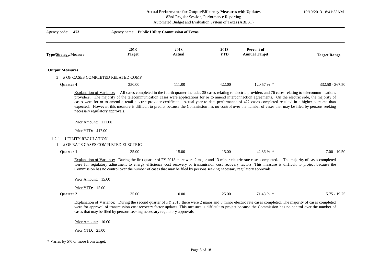10/10/2013 8:41:53AM

| 82nd Regular Session, Performance Reporting |  |  |
|---------------------------------------------|--|--|
|                                             |  |  |
|                                             |  |  |

Automated Budget and Evaluation System of Texas (ABEST)

| Agency code:           | 473                             | Agency name: Public Utility Commission of Texas                                                                                                                                                                                                        |                |                    |                                                                                                                                                                                                                                                                                                                                                                                                                                                                                          |                                 |
|------------------------|---------------------------------|--------------------------------------------------------------------------------------------------------------------------------------------------------------------------------------------------------------------------------------------------------|----------------|--------------------|------------------------------------------------------------------------------------------------------------------------------------------------------------------------------------------------------------------------------------------------------------------------------------------------------------------------------------------------------------------------------------------------------------------------------------------------------------------------------------------|---------------------------------|
| Type/Strategy/Measure  |                                 | 2013<br><b>Target</b>                                                                                                                                                                                                                                  | 2013<br>Actual | 2013<br><b>YTD</b> | Percent of<br><b>Annual Target</b>                                                                                                                                                                                                                                                                                                                                                                                                                                                       | <b>Target Range</b>             |
| <b>Output Measures</b> |                                 |                                                                                                                                                                                                                                                        |                |                    |                                                                                                                                                                                                                                                                                                                                                                                                                                                                                          |                                 |
| 3                      |                                 | # OF CASES COMPLETED RELATED COMP                                                                                                                                                                                                                      |                |                    |                                                                                                                                                                                                                                                                                                                                                                                                                                                                                          |                                 |
| <b>Quarter 4</b>       |                                 | 350.00                                                                                                                                                                                                                                                 | 111.00         | 422.00             | 120.57 % *                                                                                                                                                                                                                                                                                                                                                                                                                                                                               | $332.50 - 367.50$               |
|                        | necessary regulatory approvals. |                                                                                                                                                                                                                                                        |                |                    | providers. The majority of the telecommunication cases were applications for or to amend interconnection agreements. On the electric side, the majority of<br>cases were for or to amend a retail electric provider certificate. Actual year to date performance of 422 cases completed resulted in a higher outcome than<br>expected. However, this measure is difficult to predict because the Commission has no control over the number of cases that may be filed by persons seeking |                                 |
|                        | Prior Amount: 111.00            |                                                                                                                                                                                                                                                        |                |                    |                                                                                                                                                                                                                                                                                                                                                                                                                                                                                          |                                 |
|                        | Prior YTD: 417.00               |                                                                                                                                                                                                                                                        |                |                    |                                                                                                                                                                                                                                                                                                                                                                                                                                                                                          |                                 |
| $1 - 2 - 1$            | UTILITY REGULATION              | # OF RATE CASES COMPLETED ELECTRIC                                                                                                                                                                                                                     |                |                    |                                                                                                                                                                                                                                                                                                                                                                                                                                                                                          |                                 |
| <b>Quarter 1</b>       |                                 | 35.00                                                                                                                                                                                                                                                  | 15.00          | 15.00              | 42.86 % *                                                                                                                                                                                                                                                                                                                                                                                                                                                                                | $7.00 - 10.50$                  |
|                        |                                 | Explanation of Variance: During the first quarter of FY 2013 there were 2 major and 13 minor electric rate cases completed.<br>Commission has no control over the number of cases that may be filed by persons seeking necessary regulatory approvals. |                |                    | were for regulatory adjustment to energy efficiency cost recovery or transmission cost recovery factors. This measure is difficult to project because the                                                                                                                                                                                                                                                                                                                                | The majority of cases completed |
|                        | Prior Amount: 15.00             |                                                                                                                                                                                                                                                        |                |                    |                                                                                                                                                                                                                                                                                                                                                                                                                                                                                          |                                 |
|                        | Prior YTD: 15.00                |                                                                                                                                                                                                                                                        |                |                    |                                                                                                                                                                                                                                                                                                                                                                                                                                                                                          |                                 |
| Quarter 2              |                                 | 35.00                                                                                                                                                                                                                                                  | 10.00          | 25.00              | 71.43 % *                                                                                                                                                                                                                                                                                                                                                                                                                                                                                | $15.75 - 19.25$                 |
|                        |                                 | cases that may be filed by persons seeking necessary regulatory approvals.                                                                                                                                                                             |                |                    | Explanation of Variance: During the second quarter of FY 2013 there were 2 major and 8 minor electric rate cases completed. The majority of cases completed<br>were for approval of transmission cost recovery factor updates. This measure is difficult to project because the Commission has no control over the number of                                                                                                                                                             |                                 |
|                        | Prior Amount: 10.00             |                                                                                                                                                                                                                                                        |                |                    |                                                                                                                                                                                                                                                                                                                                                                                                                                                                                          |                                 |
|                        | Prior YTD: 25.00                |                                                                                                                                                                                                                                                        |                |                    |                                                                                                                                                                                                                                                                                                                                                                                                                                                                                          |                                 |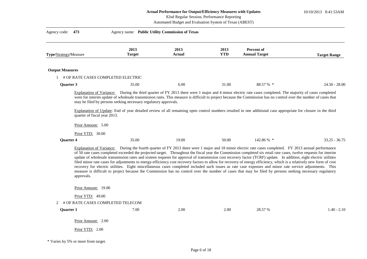10/10/2013 8:41:53AM

| 82nd Regular Session, Performance Reporting |  |  |
|---------------------------------------------|--|--|
|                                             |  |  |

Automated Budget and Evaluation System of Texas (ABEST)

| Agency code: 473                       | Agency name: Public Utility Commission of Texas                 |                       |                    |                                                                                                                                                                                                                                                                                                                                                                                                                                                                                                                                                                                                                                                                                                                                                                                                                                                                                                                                                                                                   |                     |
|----------------------------------------|-----------------------------------------------------------------|-----------------------|--------------------|---------------------------------------------------------------------------------------------------------------------------------------------------------------------------------------------------------------------------------------------------------------------------------------------------------------------------------------------------------------------------------------------------------------------------------------------------------------------------------------------------------------------------------------------------------------------------------------------------------------------------------------------------------------------------------------------------------------------------------------------------------------------------------------------------------------------------------------------------------------------------------------------------------------------------------------------------------------------------------------------------|---------------------|
| Type/Strategy/Measure                  | 2013<br><b>Target</b>                                           | 2013<br><b>Actual</b> | 2013<br><b>YTD</b> | Percent of<br><b>Annual Target</b>                                                                                                                                                                                                                                                                                                                                                                                                                                                                                                                                                                                                                                                                                                                                                                                                                                                                                                                                                                | <b>Target Range</b> |
| <b>Output Measures</b>                 |                                                                 |                       |                    |                                                                                                                                                                                                                                                                                                                                                                                                                                                                                                                                                                                                                                                                                                                                                                                                                                                                                                                                                                                                   |                     |
| 1 # OF RATE CASES COMPLETED ELECTRIC   |                                                                 |                       |                    |                                                                                                                                                                                                                                                                                                                                                                                                                                                                                                                                                                                                                                                                                                                                                                                                                                                                                                                                                                                                   |                     |
| Quarter 3                              | 35.00                                                           | 6.00                  | 31.00              | 88.57 % *                                                                                                                                                                                                                                                                                                                                                                                                                                                                                                                                                                                                                                                                                                                                                                                                                                                                                                                                                                                         | $24.50 - 28.00$     |
|                                        | may be filed by persons seeking necessary regulatory approvals. |                       |                    | Explanation of Variance: During the third quarter of FY 2013 there were 1 major and 4 minor electric rate cases completed. The majority of cases completed<br>were for interim update of wholesale transmission rates. This measure is difficult to project because the Commission has no control over the number of cases that<br>Explanation of Update: End of year detailed review of all remaining open control numbers resulted in one additional case appropriate for closure in the third                                                                                                                                                                                                                                                                                                                                                                                                                                                                                                  |                     |
| quarter of fiscal year 2013.           |                                                                 |                       |                    |                                                                                                                                                                                                                                                                                                                                                                                                                                                                                                                                                                                                                                                                                                                                                                                                                                                                                                                                                                                                   |                     |
| Prior Amount: 5.00                     |                                                                 |                       |                    |                                                                                                                                                                                                                                                                                                                                                                                                                                                                                                                                                                                                                                                                                                                                                                                                                                                                                                                                                                                                   |                     |
| Prior YTD: 30.00                       |                                                                 |                       |                    |                                                                                                                                                                                                                                                                                                                                                                                                                                                                                                                                                                                                                                                                                                                                                                                                                                                                                                                                                                                                   |                     |
| <b>Ouarter 4</b>                       | 35.00                                                           | 19.00                 | 50.00              | 142.86 % *                                                                                                                                                                                                                                                                                                                                                                                                                                                                                                                                                                                                                                                                                                                                                                                                                                                                                                                                                                                        | $33.25 - 36.75$     |
| approvals.                             |                                                                 |                       |                    | Explanation of Variance: During the fourth quarter of FY 2013 there were 1 major and 18 minor electric rate cases completed. FY 2013 annual performance<br>of 50 rate cases completed exceeded the projected target. Throughout the fiscal year the Commission completed six retail rate cases, twelve requests for interim<br>update of wholesale transmission rates and sixteen requests for approval of transmission cost recovery factor (TCRF) update. In addition, eight electric utilities<br>filed minor rate cases for adjustments to energy-efficiency cost recovery factors to allow for recovery of energy efficiency, which is a relatively new form of cost<br>recovery for electric utilities. Eight miscellaneous cases completed included such issues as rate case expenses and minor rate service adjustments. This<br>measure is difficult to project because the Commission has no control over the number of cases that may be filed by persons seeking necessary regulatory |                     |
| Prior Amount: 19.00                    |                                                                 |                       |                    |                                                                                                                                                                                                                                                                                                                                                                                                                                                                                                                                                                                                                                                                                                                                                                                                                                                                                                                                                                                                   |                     |
| Prior YTD: 49.00                       |                                                                 |                       |                    |                                                                                                                                                                                                                                                                                                                                                                                                                                                                                                                                                                                                                                                                                                                                                                                                                                                                                                                                                                                                   |                     |
| # OF RATE CASES COMPLETED TELECOM<br>2 |                                                                 |                       |                    |                                                                                                                                                                                                                                                                                                                                                                                                                                                                                                                                                                                                                                                                                                                                                                                                                                                                                                                                                                                                   |                     |
| <b>Quarter 1</b>                       | 7.00                                                            | 2.00                  | 2.00               | 28.57 %                                                                                                                                                                                                                                                                                                                                                                                                                                                                                                                                                                                                                                                                                                                                                                                                                                                                                                                                                                                           | $1.40 - 2.10$       |
| Prior Amount: 2.00                     |                                                                 |                       |                    |                                                                                                                                                                                                                                                                                                                                                                                                                                                                                                                                                                                                                                                                                                                                                                                                                                                                                                                                                                                                   |                     |
|                                        |                                                                 |                       |                    |                                                                                                                                                                                                                                                                                                                                                                                                                                                                                                                                                                                                                                                                                                                                                                                                                                                                                                                                                                                                   |                     |
| Prior YTD: 2.00                        |                                                                 |                       |                    |                                                                                                                                                                                                                                                                                                                                                                                                                                                                                                                                                                                                                                                                                                                                                                                                                                                                                                                                                                                                   |                     |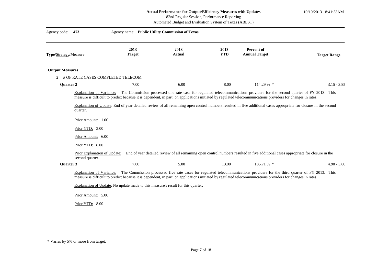10/10/2013 8:41:53AM

|                        |                                                                           |                                                                                  | 82nd Regular Session, Performance Reporting<br>Automated Budget and Evaluation System of Texas (ABEST) |                    |                                                                                                                                                                                                                                                                                                                                 |                     |
|------------------------|---------------------------------------------------------------------------|----------------------------------------------------------------------------------|--------------------------------------------------------------------------------------------------------|--------------------|---------------------------------------------------------------------------------------------------------------------------------------------------------------------------------------------------------------------------------------------------------------------------------------------------------------------------------|---------------------|
| Agency code: 473       |                                                                           | Agency name: Public Utility Commission of Texas                                  |                                                                                                        |                    |                                                                                                                                                                                                                                                                                                                                 |                     |
| Type/Strategy/Measure  |                                                                           | 2013<br><b>Target</b>                                                            | 2013<br>Actual                                                                                         | 2013<br><b>YTD</b> | Percent of<br><b>Annual Target</b>                                                                                                                                                                                                                                                                                              | <b>Target Range</b> |
| <b>Output Measures</b> |                                                                           |                                                                                  |                                                                                                        |                    |                                                                                                                                                                                                                                                                                                                                 |                     |
| 2<br>Quarter 2         |                                                                           | # OF RATE CASES COMPLETED TELECOM<br>7.00                                        | 6.00                                                                                                   | 8.00               | 114.29 % *                                                                                                                                                                                                                                                                                                                      | $3.15 - 3.85$       |
|                        | quarter.<br>Prior Amount: 1.00<br>Prior $YTD: 3.00$<br>Prior Amount: 6.00 |                                                                                  |                                                                                                        |                    | measure is difficult to predict because it is dependent, in part, on applications initiated by regulated telecommunications providers for changes in rates.<br>Explanation of Update: End of year detailed review of all remaining open control numbers resulted in five additional cases appropriate for closure in the second |                     |
|                        | Prior YTD: 8.00<br>Prior Explanation of Update:<br>second quarter.        |                                                                                  |                                                                                                        |                    | End of year detailed review of all remaining open control numbers resulted in five additional cases appropriate for closure in the                                                                                                                                                                                              |                     |
| <b>Ouarter 3</b>       |                                                                           | 7.00                                                                             | 5.00                                                                                                   | 13.00              | 185.71 % *                                                                                                                                                                                                                                                                                                                      | $4.90 - 5.60$       |
|                        | Explanation of Variance:<br>Prior Amount: 5.00                            | Explanation of Update: No update made to this measure's result for this quarter. |                                                                                                        |                    | The Commission processed five rate cases for regulated telecommunications providers for the third quarter of FY 2013. This<br>measure is difficult to predict because it is dependent, in part, on applications initiated by regulated telecommunications providers for changes in rates.                                       |                     |

Prior YTD: 8.00

<sup>\*</sup> Varies by 5% or more from target.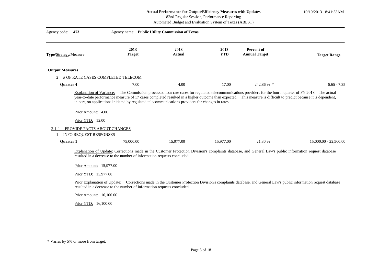10/10/2013 8:41:53AM

|                        |                                                                                                     |                                   |                                                                                                                                                    | 82nd Regular Session, Performance Reporting<br>Automated Budget and Evaluation System of Texas (ABEST) |                                                                                                                                                                                                                                                                                                       |                                                                                                                                   |
|------------------------|-----------------------------------------------------------------------------------------------------|-----------------------------------|----------------------------------------------------------------------------------------------------------------------------------------------------|--------------------------------------------------------------------------------------------------------|-------------------------------------------------------------------------------------------------------------------------------------------------------------------------------------------------------------------------------------------------------------------------------------------------------|-----------------------------------------------------------------------------------------------------------------------------------|
| Agency code:           | 473                                                                                                 |                                   | Agency name: Public Utility Commission of Texas                                                                                                    |                                                                                                        |                                                                                                                                                                                                                                                                                                       |                                                                                                                                   |
| Type/Strategy/Measure  |                                                                                                     | 2013<br><b>Target</b>             | 2013<br><b>Actual</b>                                                                                                                              | 2013<br><b>YTD</b>                                                                                     | Percent of<br><b>Annual Target</b>                                                                                                                                                                                                                                                                    | <b>Target Range</b>                                                                                                               |
| <b>Output Measures</b> |                                                                                                     |                                   |                                                                                                                                                    |                                                                                                        |                                                                                                                                                                                                                                                                                                       |                                                                                                                                   |
| 2                      |                                                                                                     | # OF RATE CASES COMPLETED TELECOM |                                                                                                                                                    |                                                                                                        |                                                                                                                                                                                                                                                                                                       |                                                                                                                                   |
| <b>Ouarter 4</b>       |                                                                                                     | 7.00                              | 4.00                                                                                                                                               | 17.00                                                                                                  | 242.86 % *                                                                                                                                                                                                                                                                                            | $6.65 - 7.35$                                                                                                                     |
| $2 - 1 - 1$<br>1       | <b>Explanation of Variance:</b><br>Prior Amount: 4.00<br>Prior YTD: 12.00<br>INFO REQUEST RESPONSES | PROVIDE FACTS ABOUT CHANGES       | in part, on applications initiated by regulated telecommunications providers for changes in rates.                                                 |                                                                                                        | The Commission processed four rate cases for regulated telecommunications providers for the fourth quarter of FY 2013. The actual<br>year-to-date performance measure of 17 cases completed resulted in a higher outcome than expected. This measure is difficult to predict because it is dependent, |                                                                                                                                   |
| Quarter 1              |                                                                                                     | 75,000.00                         | 15,977.00                                                                                                                                          | 15,977.00                                                                                              | 21.30 %                                                                                                                                                                                                                                                                                               | $15,000.00 - 22,500.00$                                                                                                           |
|                        | Prior Amount: 15,977.00<br>Prior YTD: 15,977.00<br>Prior Amount: 16,100.00<br>Prior YTD: 16,100.00  | Prior Explanation of Update:      | resulted in a decrease to the number of information requests concluded.<br>resulted in a decrease to the number of information requests concluded. |                                                                                                        | Explanation of Update: Corrections made in the Customer Protection Division's complaints database, and General Law's public information request database                                                                                                                                              | Corrections made in the Customer Protection Division's complaints database, and General Law's public information request database |

<sup>\*</sup> Varies by 5% or more from target.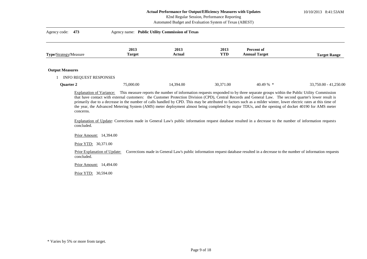10/10/2013 8:41:53AM

#### 82nd Regular Session, Performance Reporting

Automated Budget and Evaluation System of Texas (ABEST)

| Agency code: 473                                 | Agency name: Public Utility Commission of Texas |                |                    |                                    |                       |  |
|--------------------------------------------------|-------------------------------------------------|----------------|--------------------|------------------------------------|-----------------------|--|
| Type/Strategy/Measure                            | 2013<br><b>Target</b>                           | 2013<br>Actual | 2013<br><b>YTD</b> | Percent of<br><b>Annual Target</b> | <b>Target Range</b>   |  |
| <b>Output Measures</b><br>INFO REQUEST RESPONSES |                                                 |                |                    |                                    |                       |  |
| Quarter 2                                        | 75,000.00                                       | 14,394.00      | 30,371.00          | $40.49\%$ *                        | 33,750.00 - 41,250.00 |  |

Explanation of Variance: This measure reports the number of information requests responded to by three separate groups within the Public Utility Commission that have contact with external customers: the Customer Protection Division (CPD), Central Records and General Law. The second quarter's lower result is primarily due to a decrease in the number of calls handled by CPD. This may be attributed to factors such as a milder winter, lower electric rates at this time of the year, the Advanced Metering System (AMS) meter deployment almost being completed by major TDUs, and the opening of docket 40190 for AMS meter concerns.

Explanation of Update: Corrections made in General Law's public information request database resulted in a decrease to the number of information requests concluded.

Prior Amount: 14,394.00

Prior YTD: 30,371.00

Prior Explanation of Update: Corrections made in General Law's public information request database resulted in a decrease to the number of information requests concluded.

Prior Amount: 14,494.00

Prior YTD: 30,594.00

<sup>\*</sup> Varies by 5% or more from target.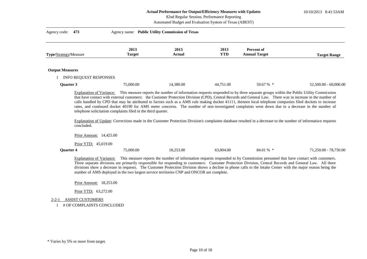10/10/2013 8:41:53AM

# 82nd Regular Session, Performance Reporting

Automated Budget and Evaluation System of Texas (ABEST)

| Type/Strategy/Measure  |                                                               | 2013<br><b>Target</b>                                         | 2013<br><b>Actual</b>                                                                     | 2013<br><b>YTD</b> | <b>Percent of</b><br><b>Annual Target</b>                                                                                                                                                                                                                                                                                                                                                                                                                                     | <b>Target Range</b>     |
|------------------------|---------------------------------------------------------------|---------------------------------------------------------------|-------------------------------------------------------------------------------------------|--------------------|-------------------------------------------------------------------------------------------------------------------------------------------------------------------------------------------------------------------------------------------------------------------------------------------------------------------------------------------------------------------------------------------------------------------------------------------------------------------------------|-------------------------|
| <b>Output Measures</b> |                                                               |                                                               |                                                                                           |                    |                                                                                                                                                                                                                                                                                                                                                                                                                                                                               |                         |
|                        | <b>INFO REQUEST RESPONSES</b>                                 |                                                               |                                                                                           |                    |                                                                                                                                                                                                                                                                                                                                                                                                                                                                               |                         |
| <b>Ouarter 3</b>       |                                                               | 75,000.00                                                     | 14,380.00                                                                                 | 44,751.00          | 59.67 % *                                                                                                                                                                                                                                                                                                                                                                                                                                                                     | $52,500.00 - 60,000.00$ |
|                        |                                                               | telephone solicitation complaints filed in the third quarter. |                                                                                           |                    | that have contact with external customers: the Customer Protection Division (CPD), Central Records and General Law. There was in increase in the number of<br>calls handled by CPD that may be attributed to factors such as a AMS rule making docket 41111, thirteen local telephone companies filed dockets to increase<br>rates, and continued docket 40190 for AMS meter concerns. The number of non-investigated complaints went down due to a decrease in the number of |                         |
|                        | concluded.<br>Prior Amount: 14,425.00<br>Prior YTD: 45,019.00 |                                                               |                                                                                           |                    | Explanation of Update: Corrections made in the Customer Protection Division's complaints database resulted in a decrease to the number of information requests                                                                                                                                                                                                                                                                                                                |                         |
| Quarter 4              |                                                               | 75,000.00                                                     | 18,253.00                                                                                 | 63,004.00          | 84.01 % *                                                                                                                                                                                                                                                                                                                                                                                                                                                                     | 71,250.00 - 78,750.00   |
|                        | Explanation of Variance:                                      |                                                               | number of AMS deployed in the two largest service territories CNP and ONCOR are complete. |                    | This measure reports the number of information requests responded to by Commission personnel that have contact with customers.<br>Three separate divisions are primarily responsible for responding to customers: Customer Protection Division, Central Records and General Law. All three<br>divisions show a decrease in requests. The Customer Protection Division shows a decline in phone calls to the Intake Center with the major reason being the                     |                         |
|                        | Prior Amount: 18,253.00<br>Prior YTD: 63,272.00               |                                                               |                                                                                           |                    |                                                                                                                                                                                                                                                                                                                                                                                                                                                                               |                         |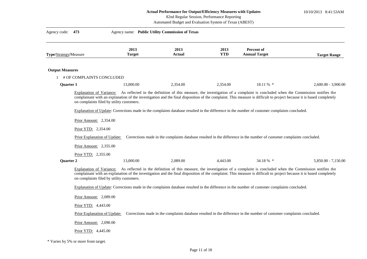10/10/2013 8:41:53AM

# 82nd Regular Session, Performance Reporting

Automated Budget and Evaluation System of Texas (ABEST)

| Agency code: 473       |                                           |                       | Agency name: Public Utility Commission of Texas |                    |                                                                                                                                                                                                                                                                                                                                 |                       |
|------------------------|-------------------------------------------|-----------------------|-------------------------------------------------|--------------------|---------------------------------------------------------------------------------------------------------------------------------------------------------------------------------------------------------------------------------------------------------------------------------------------------------------------------------|-----------------------|
| Type/Strategy/Measure  |                                           | 2013<br><b>Target</b> | 2013<br>Actual                                  | 2013<br><b>YTD</b> | Percent of<br><b>Annual Target</b>                                                                                                                                                                                                                                                                                              | <b>Target Range</b>   |
| <b>Output Measures</b> |                                           |                       |                                                 |                    |                                                                                                                                                                                                                                                                                                                                 |                       |
|                        | # OF COMPLAINTS CONCLUDED                 |                       |                                                 |                    |                                                                                                                                                                                                                                                                                                                                 |                       |
| Quarter 1              |                                           | 13,000.00             | 2,354.00                                        | 2,354.00           | 18.11 % *                                                                                                                                                                                                                                                                                                                       | $2,600.00 - 3,900.00$ |
|                        | on complaints filed by utility customers. |                       |                                                 |                    | Explanation of Variance: As reflected in the definition of this measure, the investigation of a complaint is concluded when the Commission notifies the<br>complainant with an explanation of the investigation and the final disposition of the complaint. This measure is difficult to project because it is based completely |                       |
|                        |                                           |                       |                                                 |                    | Explanation of Update: Corrections made in the complaints database resulted in the difference in the number of customer complaints concluded.                                                                                                                                                                                   |                       |
|                        | Prior Amount: 2,354.00                    |                       |                                                 |                    |                                                                                                                                                                                                                                                                                                                                 |                       |
|                        | Prior YTD: 2,354.00                       |                       |                                                 |                    |                                                                                                                                                                                                                                                                                                                                 |                       |
|                        | Prior Explanation of Update:              |                       |                                                 |                    | Corrections made in the complaints database resulted in the difference in the number of customer complaints concluded.                                                                                                                                                                                                          |                       |
|                        | Prior Amount: 2,355.00                    |                       |                                                 |                    |                                                                                                                                                                                                                                                                                                                                 |                       |
|                        |                                           |                       |                                                 |                    |                                                                                                                                                                                                                                                                                                                                 |                       |
| <b>Quarter 2</b>       | Prior YTD: 2,355.00                       | 13,000.00             | 2.089.00                                        | 4.443.00           | 34.18 % *                                                                                                                                                                                                                                                                                                                       | 5,850.00 - 7,150.00   |
|                        | on complaints filed by utility customers. |                       |                                                 |                    | Explanation of Variance: As reflected in the definition of this measure, the investigation of a complaint is concluded when the Commission notifies the<br>complainant with an explanation of the investigation and the final disposition of the complaint. This measure is difficult to project because it is based completely |                       |
|                        |                                           |                       |                                                 |                    | Explanation of Update: Corrections made in the complaints database resulted in the difference in the number of customer complaints concluded.                                                                                                                                                                                   |                       |
|                        | Prior Amount: 2,089.00                    |                       |                                                 |                    |                                                                                                                                                                                                                                                                                                                                 |                       |
|                        | Prior YTD: 4,443.00                       |                       |                                                 |                    |                                                                                                                                                                                                                                                                                                                                 |                       |
|                        | Prior Explanation of Update:              |                       |                                                 |                    | Corrections made in the complaints database resulted in the difference in the number of customer complaints concluded.                                                                                                                                                                                                          |                       |
|                        | Prior Amount: 2,090.00                    |                       |                                                 |                    |                                                                                                                                                                                                                                                                                                                                 |                       |
|                        | Prior YTD: 4,445.00                       |                       |                                                 |                    |                                                                                                                                                                                                                                                                                                                                 |                       |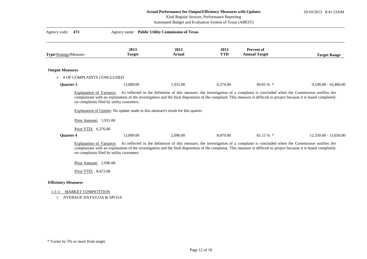10/10/2013 8:41:53AM

|                                             | retuar i criormance for Outpug Emetency measures while Opulies |  |
|---------------------------------------------|----------------------------------------------------------------|--|
| 82nd Regular Session, Performance Reporting |                                                                |  |

Automated Budget and Evaluation System of Texas (ABEST)

| Agency code:               | 473                                                                                                                    |                       | Agency name: Public Utility Commission of Texas                                              |                    |                                                                                                                                                                                                                                                                                                        |                        |
|----------------------------|------------------------------------------------------------------------------------------------------------------------|-----------------------|----------------------------------------------------------------------------------------------|--------------------|--------------------------------------------------------------------------------------------------------------------------------------------------------------------------------------------------------------------------------------------------------------------------------------------------------|------------------------|
| Type/Strategy/Measure      |                                                                                                                        | 2013<br><b>Target</b> | 2013<br>Actual                                                                               | 2013<br><b>YTD</b> | Percent of<br><b>Annual Target</b>                                                                                                                                                                                                                                                                     | <b>Target Range</b>    |
| <b>Output Measures</b>     |                                                                                                                        |                       |                                                                                              |                    |                                                                                                                                                                                                                                                                                                        |                        |
|                            | # OF COMPLAINTS CONCLUDED                                                                                              |                       |                                                                                              |                    |                                                                                                                                                                                                                                                                                                        |                        |
| Quarter 3                  |                                                                                                                        | 13,000.00             | 1,931.00                                                                                     | 6,374.00           | 49.03 % *                                                                                                                                                                                                                                                                                              | $9,100.00 - 10,400.00$ |
| <b>Ouarter 4</b>           | on complaints filed by utility customers.<br>Prior Amount: 1,931.00<br>Prior YTD: 6,376.00                             | 13,000.00             | Explanation of Update: No update made to this measure's result for this quarter.<br>2,096.00 | 8,470.00           | 65.15 % *                                                                                                                                                                                                                                                                                              | 12,350.00 - 13,650.00  |
|                            | Explanation of Variance:<br>on complaints filed by utility customers.<br>Prior Amount: 2,096.00<br>Prior YTD: 8,472.00 |                       |                                                                                              |                    | As reflected in the definition of this measure, the investigation of a complaint is concluded when the Commission notifies the<br>complainant with an explanation of the investigation and the final disposition of the complaint. This measure is difficult to project because it is based completely |                        |
| <b>Efficiency Measures</b> |                                                                                                                        |                       |                                                                                              |                    |                                                                                                                                                                                                                                                                                                        |                        |
| $1 - 1 - 1$                | <b>MARKET COMPETITION</b>                                                                                              |                       |                                                                                              |                    |                                                                                                                                                                                                                                                                                                        |                        |

1 AVERAGE DAYS/COA & SPCOA

<sup>\*</sup> Varies by 5% or more from target.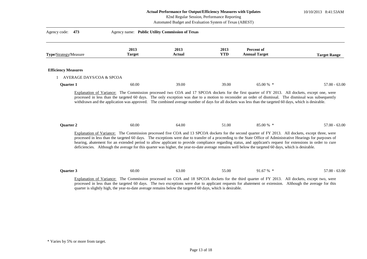10/10/2013 8:41:53AM

| Actual Performance for Output/Efficiency Measures with Updates |  |
|----------------------------------------------------------------|--|
| 82nd Regular Session, Performance Reporting                    |  |

Automated Budget and Evaluation System of Texas (ABEST)

| Type/Strategy/Measure      | 2013<br><b>Target</b> | 2013<br><b>Actual</b> | 2013<br><b>YTD</b> | Percent of<br><b>Annual Target</b>                                                                                                                                                                                                                                                                                                                                                                                                                                                       | <b>Target Range</b> |
|----------------------------|-----------------------|-----------------------|--------------------|------------------------------------------------------------------------------------------------------------------------------------------------------------------------------------------------------------------------------------------------------------------------------------------------------------------------------------------------------------------------------------------------------------------------------------------------------------------------------------------|---------------------|
| <b>Efficiency Measures</b> |                       |                       |                    |                                                                                                                                                                                                                                                                                                                                                                                                                                                                                          |                     |
| AVERAGE DAYS/COA & SPCOA   |                       |                       |                    |                                                                                                                                                                                                                                                                                                                                                                                                                                                                                          |                     |
| <b>Ouarter 1</b>           | 60.00                 | 39.00                 | 39.00              | 65.00 $%$ *                                                                                                                                                                                                                                                                                                                                                                                                                                                                              | $57.00 - 63.00$     |
|                            |                       |                       |                    |                                                                                                                                                                                                                                                                                                                                                                                                                                                                                          |                     |
| Quarter 2                  | 60.00                 | 64.00                 | 51.00              | 85.00 % *<br>Explanation of Variance: The Commission processed five COA and 13 SPCOA dockets for the second quarter of FY 2013. All dockets, except three, were                                                                                                                                                                                                                                                                                                                          | $57.00 - 63.00$     |
|                            |                       |                       |                    | processed in less than the targeted 60 days. The exceptions were due to transfer of a proceeding to the State Office of Administrative Hearings for purposes of<br>hearing, abatement for an extended period to allow applicant to provide compliance regarding status, and applicant's request for extensions in order to cure<br>deficiencies. Although the average for this quarter was higher, the year-to-date average remains well below the targeted 60 days, which is desirable. |                     |
| Quarter 3                  | 60.00                 | 63.00                 | 55.00              | 91.67 % *                                                                                                                                                                                                                                                                                                                                                                                                                                                                                | $57.00 - 63.00$     |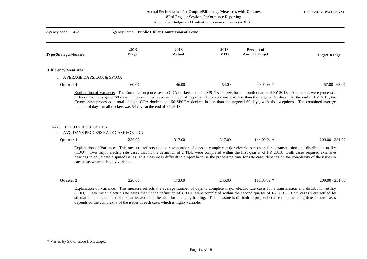10/10/2013 8:41:53AM

# Automated Budget and Evaluation System of Texas (ABEST) 82nd Regular Session, Performance Reporting

| Agency code:<br>473                                                     | Agency name: Public Utility Commission of Texas                                 |                       |                    |                                                                                                                                                                                                                                                                                                                                                                                                                                                                                              |                     |
|-------------------------------------------------------------------------|---------------------------------------------------------------------------------|-----------------------|--------------------|----------------------------------------------------------------------------------------------------------------------------------------------------------------------------------------------------------------------------------------------------------------------------------------------------------------------------------------------------------------------------------------------------------------------------------------------------------------------------------------------|---------------------|
| <b>Type/Strategy/Measure</b>                                            | 2013<br><b>Target</b>                                                           | 2013<br><b>Actual</b> | 2013<br><b>YTD</b> | <b>Percent of</b><br><b>Annual Target</b>                                                                                                                                                                                                                                                                                                                                                                                                                                                    | <b>Target Range</b> |
| <b>Efficiency Measures</b>                                              |                                                                                 |                       |                    |                                                                                                                                                                                                                                                                                                                                                                                                                                                                                              |                     |
| 1 AVERAGE DAYS/COA & SPCOA                                              |                                                                                 |                       |                    |                                                                                                                                                                                                                                                                                                                                                                                                                                                                                              |                     |
| <b>Ouarter 4</b>                                                        | 60.00                                                                           | 46.00                 | 54.00              | $90.00\%$ *                                                                                                                                                                                                                                                                                                                                                                                                                                                                                  | $57.00 - 63.00$     |
| UTILITY REGULATION<br>$1 - 2 - 1$<br>AVG DAYS PROCESS RATE CASE FOR TDU |                                                                                 |                       |                    |                                                                                                                                                                                                                                                                                                                                                                                                                                                                                              |                     |
| <b>Quarter 1</b>                                                        | 220.00                                                                          | 317.00                | 317.00             | 144.09 % *                                                                                                                                                                                                                                                                                                                                                                                                                                                                                   | $209.00 - 231.00$   |
| each case, which is highly variable.                                    |                                                                                 |                       |                    | Explanation of Variance: This measure reflects the average number of days to complete major electric rate cases for a transmission and distribution utility<br>(TDU). Two major electric rate cases that fit the definition of a TDU were completed within the first quarter of FY 2013. Both cases required extensive<br>hearings to adjudicate disputed issues. This measure is difficult to project because the processing time for rate cases depends on the complexity of the issues in |                     |
| Quarter 2                                                               | 220.00                                                                          | 173.00                | 245.00             | 111.36 % *                                                                                                                                                                                                                                                                                                                                                                                                                                                                                   | 209.00 - 231.00     |
|                                                                         | depends on the complexity of the issues in each case, which is highly variable. |                       |                    | Explanation of Variance: This measure reflects the average number of days to complete major electric rate cases for a transmission and distribution utility<br>(TDU). Two major electric rate cases that fit the definition of a TDU were completed within the second quarter of FY 2013. Both cases were settled by<br>stipulation and agreement of the parties avoiding the need for a lengthy hearing. This measure is difficult to project because the processing time for rate cases    |                     |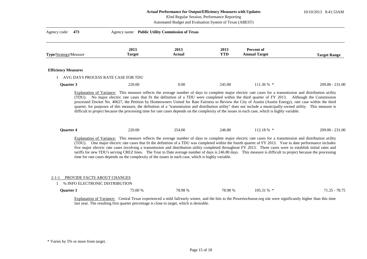## **Actual Performance for Output/Efficiency Measures with Updates**  82nd Regular Session, Performance Reporting

10/10/2013 8:41:53AM

| Automated Budget and Evaluation System of Texas (ABEST) |                                                                                                                                                           |                                                 |                    |                                    |                                                                                                                                                                                                                                                                                                                                                                                                                                                                                                                                                                                                                                                               |  |
|---------------------------------------------------------|-----------------------------------------------------------------------------------------------------------------------------------------------------------|-------------------------------------------------|--------------------|------------------------------------|---------------------------------------------------------------------------------------------------------------------------------------------------------------------------------------------------------------------------------------------------------------------------------------------------------------------------------------------------------------------------------------------------------------------------------------------------------------------------------------------------------------------------------------------------------------------------------------------------------------------------------------------------------------|--|
| Agency code:<br>473                                     |                                                                                                                                                           | Agency name: Public Utility Commission of Texas |                    |                                    |                                                                                                                                                                                                                                                                                                                                                                                                                                                                                                                                                                                                                                                               |  |
| Type/Strategy/Measure                                   | 2013<br><b>Target</b>                                                                                                                                     | 2013<br><b>Actual</b>                           | 2013<br><b>YTD</b> | Percent of<br><b>Annual Target</b> | <b>Target Range</b>                                                                                                                                                                                                                                                                                                                                                                                                                                                                                                                                                                                                                                           |  |
| <b>Efficiency Measures</b>                              |                                                                                                                                                           |                                                 |                    |                                    |                                                                                                                                                                                                                                                                                                                                                                                                                                                                                                                                                                                                                                                               |  |
|                                                         | AVG DAYS PROCESS RATE CASE FOR TDU                                                                                                                        |                                                 |                    |                                    |                                                                                                                                                                                                                                                                                                                                                                                                                                                                                                                                                                                                                                                               |  |
| Quarter 3                                               | 220.00                                                                                                                                                    | 0.00                                            | 245.00             | 111.36 % *                         | $209.00 - 231.00$                                                                                                                                                                                                                                                                                                                                                                                                                                                                                                                                                                                                                                             |  |
| Quarter 4                                               | difficult to project because the processing time for rate cases depends on the complexity of the issues in each case, which is highly variable.<br>220.00 | 254.00                                          | 246.80             | 112.18 % *                         | 209.00 - 231.00                                                                                                                                                                                                                                                                                                                                                                                                                                                                                                                                                                                                                                               |  |
|                                                         | time for rate cases depends on the complexity of the issues in each case, which is highly variable.                                                       |                                                 |                    |                                    | Explanation of Variance: This measure reflects the average number of days to complete major electric rate cases for a transmission and distribution utility<br>(TDU). One major electric rate cases that fit the definition of a TDU was completed within the fourth quarter of FY 2013. Year to date performance includes<br>five major electric rate cases involving a transmission and distribution utility completed throughout FY 2013. Three cases were to establish initial rates and<br>tariffs for new TDU's serving CREZ lines. The Year to Date average number of days is 246.80 days. This measure is difficult to project because the processing |  |
| 2-1-1                                                   | PROVIDE FACTS ABOUT CHANGES<br>% INFO ELECTRONIC DISTRIBUTION                                                                                             |                                                 |                    |                                    |                                                                                                                                                                                                                                                                                                                                                                                                                                                                                                                                                                                                                                                               |  |
| <b>Ouarter 1</b>                                        |                                                                                                                                                           | 75.00 %<br>78.98 %                              | 78.98 %            | $105.31\%$ *                       | $71.25 - 78.75$                                                                                                                                                                                                                                                                                                                                                                                                                                                                                                                                                                                                                                               |  |

Explanation of Variance: Central Texas experienced a mild fall/early winter, and the hits to the Powertochoose.org site were significantly higher than this time last year. The resulting first quarter percentage is close to target, which is desirable.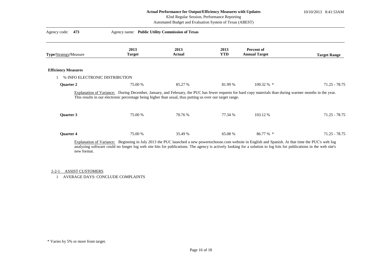10/10/2013 8:41:53AM

| 82nd Regular Session, Performance Reporting |  |
|---------------------------------------------|--|
|---------------------------------------------|--|

Automated Budget and Evaluation System of Texas (ABEST)

| 473<br>Agency code:            | Agency name: Public Utility Commission of Texas                                                                                                                                                                                                                                                                                |                |                    |                                    |                     |
|--------------------------------|--------------------------------------------------------------------------------------------------------------------------------------------------------------------------------------------------------------------------------------------------------------------------------------------------------------------------------|----------------|--------------------|------------------------------------|---------------------|
| Type/Strategy/Measure          | 2013<br><b>Target</b>                                                                                                                                                                                                                                                                                                          | 2013<br>Actual | 2013<br><b>YTD</b> | Percent of<br><b>Annual Target</b> | <b>Target Range</b> |
| <b>Efficiency Measures</b>     |                                                                                                                                                                                                                                                                                                                                |                |                    |                                    |                     |
| % INFO ELECTRONIC DISTRIBUTION |                                                                                                                                                                                                                                                                                                                                |                |                    |                                    |                     |
| <b>Quarter 2</b>               | 75.00 %                                                                                                                                                                                                                                                                                                                        | 85.27 %        | 81.99 %            | $109.32\%$ *                       | $71.25 - 78.75$     |
|                                | Explanation of Variance: During December, January, and February, the PUC has fewer requests for hard copy materials than during warmer months in the year.<br>This results in our electronic percentage being higher than usual, thus putting us over our target range.                                                        |                |                    |                                    |                     |
| Quarter 3                      | 75.00 %                                                                                                                                                                                                                                                                                                                        | 70.76 %        | 77.34 %            | 103.12 %                           | $71.25 - 78.75$     |
| Quarter 4                      | 75.00 %                                                                                                                                                                                                                                                                                                                        | 35.49 %        | 65.08 %            | 86.77 % *                          | $71.25 - 78.75$     |
| new format.                    | Explanation of Variance: Beginning in July 2013 the PUC launched a new powertochoose.com website in English and Spanish. At that time the PUC's web log<br>analyzing software could no longer log web site hits for publications. The agency is actively looking for a solution to log hits for publications in the web site's |                |                    |                                    |                     |

#### 2-2-1 ASSIST CUSTOMERS

1 AVERAGE DAYS: CONCLUDE COMPLAINTS

<sup>\*</sup> Varies by 5% or more from target.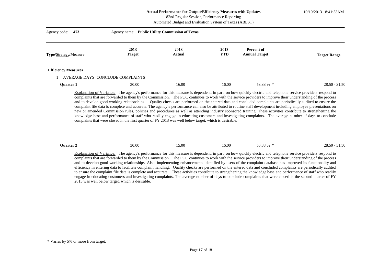#### **Actual Performance for Output/Efficiency Measures with Updates**  82nd Regular Session, Performance Reporting

10/10/2013 8:41:53AM

| Agency code: 473      | Agency name: Public Utility Commission of Texas |               |            |                      |                     |
|-----------------------|-------------------------------------------------|---------------|------------|----------------------|---------------------|
|                       | 2013                                            | 2013          | 2013       | Percent of           |                     |
| Type/Strategy/Measure | <b>Target</b>                                   | <b>Actual</b> | <b>YTD</b> | <b>Annual Target</b> | <b>Target Range</b> |

#### **Efficiency Measures**

#### 1 AVERAGE DAYS: CONCLUDE COMPLAINTS

| Quarter 1 | 30.00 | 6.00، | 16.00 | 53330<br>JJ.JJ 70 | $28.50 - 31.50$ |
|-----------|-------|-------|-------|-------------------|-----------------|
|           |       |       |       |                   |                 |

Explanation of Variance: The agency's performance for this measure is dependent, in part, on how quickly electric and telephone service providers respond to complaints that are forwarded to them by the Commission. The PUC continues to work with the service providers to improve their understanding of the process and to develop good working relationships. Quality checks are performed on the entered data and concluded complaints are periodically audited to ensure the complaint file data is complete and accurate. The agency's performance can also be attributed to routine staff development including employee presentations on new or amended Commission rules, policies and procedures as well as attending industry sponsored training. These activities contribute to strengthening the knowledge base and performance of staff who readily engage in educating customers and investigating complaints. The average number of days to conclude complaints that were closed in the first quarter of FY 2013 was well below target, which is desirable.

| Ouarter. | 30.00 | ۔5.00 | 16.00 | 3330<br>JJ.JJ 70 | $28.50 - 31.50$ |
|----------|-------|-------|-------|------------------|-----------------|
|----------|-------|-------|-------|------------------|-----------------|

Explanation of Variance: The agency's performance for this measure is dependent, in part, on how quickly electric and telephone service providers respond to complaints that are forwarded to them by the Commission. The PUC continues to work with the service providers to improve their understanding of the process and to develop good working relationships. Also, implementing enhancements identified by users of the complaint database has improved its functionality and efficiency in entering data to facilitate complaint handling. Quality checks are performed on the entered data and concluded complaints are periodically audited to ensure the complaint file data is complete and accurate. These activities contribute to strengthening the knowledge base and performance of staff who readily engage in educating customers and investigating complaints. The average number of days to conclude complaints that were closed in the second quarter of FY 2013 was well below target, which is desirable.

<sup>\*</sup> Varies by 5% or more from target.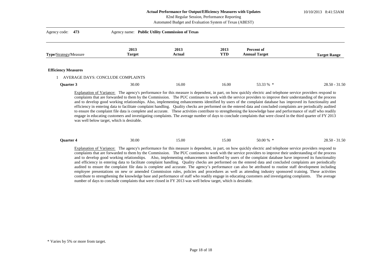#### **Actual Performance for Output/Efficiency Measures with Updates**  82nd Regular Session, Performance Reporting

10/10/2013 8:41:53AM

|                              | Automated Budget and Evaluation System of Texas (ABEST) |                       |                    |                                    |                     |  |
|------------------------------|---------------------------------------------------------|-----------------------|--------------------|------------------------------------|---------------------|--|
| Agency code: 473             | Agency name: Public Utility Commission of Texas         |                       |                    |                                    |                     |  |
| <b>Type/Strategy/Measure</b> | 2013<br>Target                                          | 2013<br><b>Actual</b> | 2013<br><b>YTD</b> | Percent of<br><b>Annual Target</b> | <b>Target Range</b> |  |

#### **Efficiency Measures**

#### 1 AVERAGE DAYS: CONCLUDE COMPLAINTS

| Quarter 3 | 30.00<br>. | 16.00 | 16.00 | 53330<br>,,,,,,, | $28.50 - 31.50$ |
|-----------|------------|-------|-------|------------------|-----------------|
|           |            |       |       |                  |                 |

Explanation of Variance: The agency's performance for this measure is dependent, in part, on how quickly electric and telephone service providers respond to complaints that are forwarded to them by the Commission. The PUC continues to work with the service providers to improve their understanding of the process and to develop good working relationships. Also, implementing enhancements identified by users of the complaint database has improved its functionality and efficiency in entering data to facilitate complaint handling. Quality checks are performed on the entered data and concluded complaints are periodically audited to ensure the complaint file data is complete and accurate. These activities contribute to strengthening the knowledge base and performance of staff who readily engage in educating customers and investigating complaints. The average number of days to conclude complaints that were closed in the third quarter of FY 2013 was well below target, which is desirable.

|  | <b>Ouarter 4</b> | 30.00 | .5.00 | 15.00 | 50.00 % | $28.50 - 31.50$ |
|--|------------------|-------|-------|-------|---------|-----------------|
|--|------------------|-------|-------|-------|---------|-----------------|

Explanation of Variance: The agency's performance for this measure is dependent, in part, on how quickly electric and telephone service providers respond to complaints that are forwarded to them by the Commission. The PUC continues to work with the service providers to improve their understanding of the process and to develop good working relationships. Also, implementing enhancements identified by users of the complaint database have improved its functionality and efficiency in entering data to facilitate complaint handling. Quality checks are performed on the entered data and concluded complaints are periodically audited to ensure the complaint file data is complete and accurate. The agency's performance can also be attributed to routine staff development including employee presentations on new or amended Commission rules, policies and procedures as well as attending industry sponsored training. These activities contribute to strengthening the knowledge base and performance of staff who readily engage in educating customers and investigating complaints. The average number of days to conclude complaints that were closed in FY 2013 was well below target, which is desirable.

<sup>\*</sup> Varies by 5% or more from target.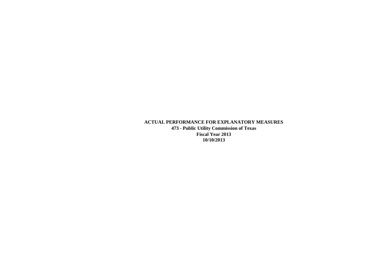# **ACTUAL PERFORMANCE FOR EXPLANATORY MEASURES 473 - Public Utility Commission of Texas Fiscal Year 2013 10/10/2013**